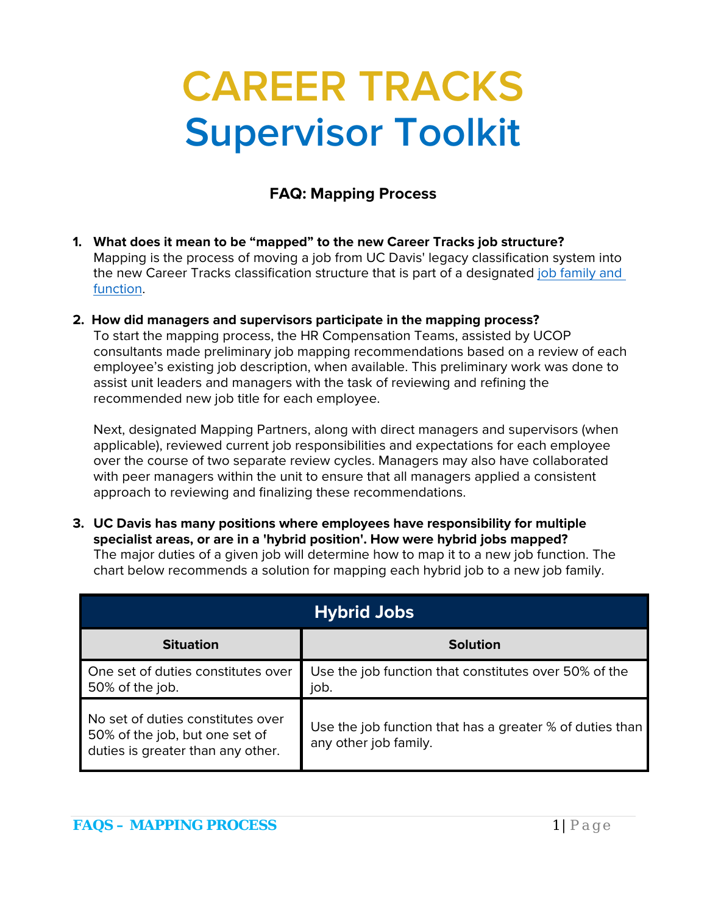## **CAREER TRACKS Supervisor Toolkit**

## **FAQ: Mapping Process**

- **1. What does it mean to be "mapped" to the new Career Tracks job structure?** Mapping is the process of moving a job from UC Davis' legacy classification system into the new Career Tracks classification structure that is part of a designated [job family and](http://www.hr.ucdavis.edu/compensation/documents/CT%20Structure.pdf)  [function.](http://www.hr.ucdavis.edu/compensation/documents/CT%20Structure.pdf)
- **2. How did managers and supervisors participate in the mapping process?** To start the mapping process, the HR Compensation Teams, assisted by UCOP consultants made preliminary job mapping recommendations based on a review of each employee's existing job description, when available. This preliminary work was done to assist unit leaders and managers with the task of reviewing and refining the recommended new job title for each employee.

Next, designated Mapping Partners, along with direct managers and supervisors (when applicable), reviewed current job responsibilities and expectations for each employee over the course of two separate review cycles. Managers may also have collaborated with peer managers within the unit to ensure that all managers applied a consistent approach to reviewing and finalizing these recommendations.

**3. UC Davis has many positions where employees have responsibility for multiple specialist areas, or are in a 'hybrid position'. How were hybrid jobs mapped?** The major duties of a given job will determine how to map it to a new job function. The chart below recommends a solution for mapping each hybrid job to a new job family.

| <b>Hybrid Jobs</b>                                                                                       |                                                                                   |
|----------------------------------------------------------------------------------------------------------|-----------------------------------------------------------------------------------|
| <b>Situation</b>                                                                                         | <b>Solution</b>                                                                   |
| One set of duties constitutes over<br>50% of the job.                                                    | Use the job function that constitutes over 50% of the<br>job.                     |
| No set of duties constitutes over<br>50% of the job, but one set of<br>duties is greater than any other. | Use the job function that has a greater % of duties than<br>any other job family. |